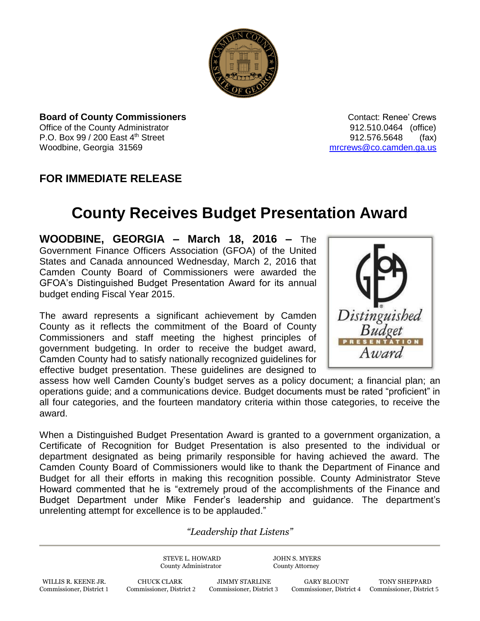

**Board of County Commissioners Contact: Renee' Crews Contact: Renee' Crews** Office of the County Administrator 912.510.0464 (office) P.O. Box 99 / 200 East 4<sup>th</sup> Street 912.576.5648 (fax) Woodbine, Georgia 31569 [mrcrews@co.camden.ga.us](mailto:mrcrews@co.camden.ga.us)

## **FOR IMMEDIATE RELEASE**

## **County Receives Budget Presentation Award**

**WOODBINE, GEORGIA – March 18, 2016 –** The Government Finance Officers Association (GFOA) of the United States and Canada announced Wednesday, March 2, 2016 that Camden County Board of Commissioners were awarded the GFOA's Distinguished Budget Presentation Award for its annual budget ending Fiscal Year 2015.

The award represents a significant achievement by Camden County as it reflects the commitment of the Board of County Commissioners and staff meeting the highest principles of government budgeting. In order to receive the budget award, Camden County had to satisfy nationally recognized guidelines for effective budget presentation. These guidelines are designed to



assess how well Camden County's budget serves as a policy document; a financial plan; an operations guide; and a communications device. Budget documents must be rated "proficient" in all four categories, and the fourteen mandatory criteria within those categories, to receive the award.

When a Distinguished Budget Presentation Award is granted to a government organization, a Certificate of Recognition for Budget Presentation is also presented to the individual or department designated as being primarily responsible for having achieved the award. The Camden County Board of Commissioners would like to thank the Department of Finance and Budget for all their efforts in making this recognition possible. County Administrator Steve Howard commented that he is "extremely proud of the accomplishments of the Finance and Budget Department under Mike Fender's leadership and guidance. The department's unrelenting attempt for excellence is to be applauded."

## *"Leadership that Listens"*

STEVE L. HOWARD JOHN S. MYERS County Administrator County Attorney

WILLIS R. KEENE JR. CHUCK CLARK JIMMY STARLINE GARY BLOUNT TONY SHEPPARD